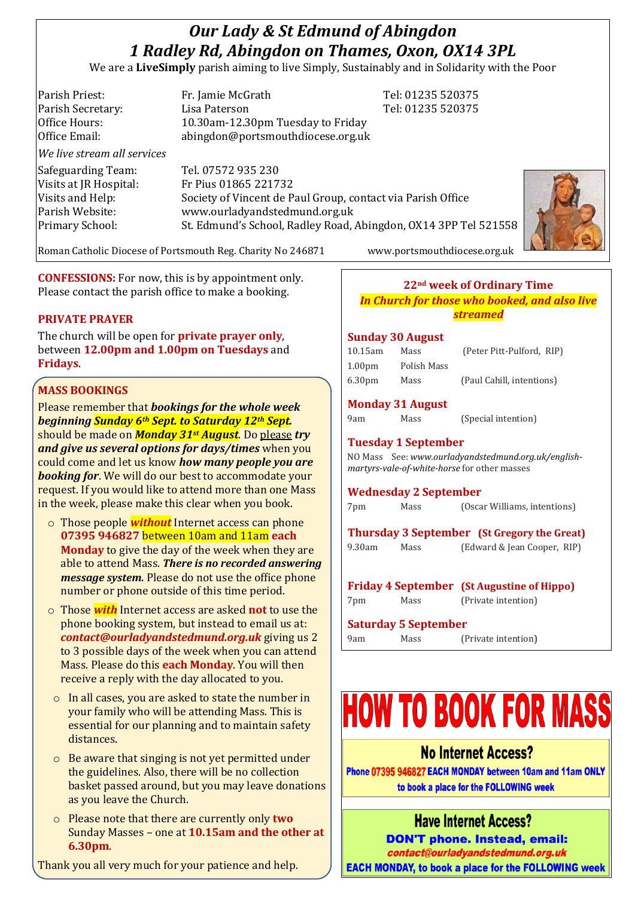# *Our Lady & St Edmund of Abingdon 1 Radley Rd, Abingdon on Thames, Oxon, OX14 3PL*

We are a **LiveSimply** parish aiming to live Simply, Sustainably and in Solidarity with the Poor

| Parish Priest:              | Fr. Jamie McGrath                                               | Tel: 01235 520375 |  |
|-----------------------------|-----------------------------------------------------------------|-------------------|--|
| Parish Secretary:           | Lisa Paterson                                                   | Tel: 01235 520375 |  |
| Office Hours:               | 10.30am-12.30pm Tuesday to Friday                               |                   |  |
| Office Email:               | abingdon@portsmouthdiocese.org.uk                               |                   |  |
| We live stream all services |                                                                 |                   |  |
| Safeguarding Team:          | Tel. 07572 935 230                                              |                   |  |
| Visits at JR Hospital:      | Fr Pius 01865 221732                                            |                   |  |
| Visits and Help:            | Society of Vincent de Paul Group, contact via Parish Office     |                   |  |
| Parish Website:             | www.ourladyandstedmund.org.uk                                   |                   |  |
| Primary School:             | St. Edmund's School, Radley Road, Abingdon, OX14 3PP Tel 521558 |                   |  |
|                             |                                                                 |                   |  |



**CONFESSIONS:** For now, this is by appointment only. Please contact the parish office to make a booking.

#### **PRIVATE PRAYER**

The church will be open for **private prayer only**, between **12.00pm and 1.00pm on Tuesdays** and **Fridays**.

## **MASS BOOKINGS**

Please remember that *bookings for the whole week beginning Sunday 6th Sept. to Saturday 12th Sept.*  should be made on *Monday 31st August*. Do please *try and give us several options for days/times* when you could come and let us know *how many people you are booking for*. We will do our best to accommodate your request. If you would like to attend more than one Mass in the week, please make this clear when you book.

- o Those people *without* Internet access can phone **07395 946827** between 10am and 11am **each Monday** to give the day of the week when they are able to attend Mass. *There is no recorded answering message system.* Please do not use the office phone number or phone outside of this time period.
- o Those *with* Internet access are asked **not** to use the phone booking system, but instead to email us at: *contact@ourladyandstedmund.org.uk* giving us 2 to 3 possible days of the week when you can attend Mass. Please do this **each Monday**. You will then receive a reply with the day allocated to you.
- o In all cases, you are asked to state the number in your family who will be attending Mass. This is essential for our planning and to maintain safety distances.
- o Be aware that singing is not yet permitted under the guidelines. Also, there will be no collection basket passed around, but you may leave donations as you leave the Church.
- o Please note that there are currently only **two** Sunday Masses – one at **10.15am and the other at 6.30pm**.

Thank you all very much for your patience and help.

Roman Catholic Diocese of Portsmouth Reg. Charity No 246871 www.portsmouthdiocese.org.uk

#### **22nd week of Ordinary Time** *In Church for those who booked, and also live streamed*

#### **Sunday 30 August**

| 10.15am            | Mass        | (Peter Pitt-Pulford, RIP) |
|--------------------|-------------|---------------------------|
| 1.00 <sub>pm</sub> | Polish Mass |                           |
| 6.30 <sub>pm</sub> | Mass        | (Paul Cahill, intentions) |

#### **Monday 31 August**

9am Mass (Special intention)

# **Tuesday 1 September**

NO Mass See: *www.ourladyandstedmund.org.uk/englishmartyrs-vale-of-white-horse* for other masses

#### **Wednesday 2 September**

7pm Mass (Oscar Williams, intentions)

**Thursday 3 September (St Gregory the Great)** 9.30am Mass (Edward & Jean Cooper, RIP)

**Friday 4 September (St Augustine of Hippo)** 7pm Mass (Private intention)

## **Saturday 5 September**

9am Mass (Private intention)

# **HOW TO BOOK FOR MASS**

# **No Internet Access?**

Phone 07395 946827 EACH MONDAY between 10am and 11am ONLY to book a place for the FOLLOWING week

# **Have Internet Access?**

**DON'T phone. Instead, email:** contact@ourladyandstedmund.org.uk **EACH MONDAY, to book a place for the FOLLOWING week**